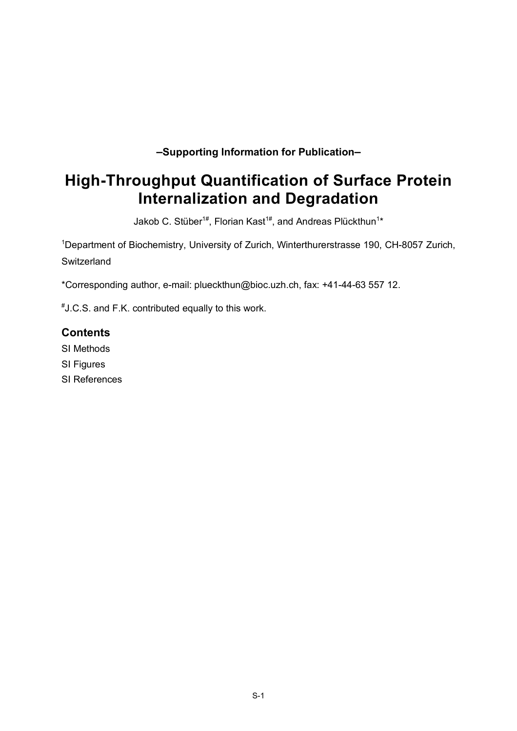**–Supporting Information for Publication–**

# **High-Throughput Quantification of Surface Protein Internalization and Degradation**

Jakob C. Stüber<sup>1#</sup>, Florian Kast<sup>1#</sup>, and Andreas Plückthun<sup>1</sup>\*

<sup>1</sup>Department of Biochemistry, University of Zurich, Winterthurerstrasse 190, CH-8057 Zurich, **Switzerland** 

\*Corresponding author, e-mail: plueckthun@bioc.uzh.ch, fax: +41-44-63 557 12.

# J.C.S. and F.K. contributed equally to this work.

# **Contents**

SI Methods

- SI Figures
- SI References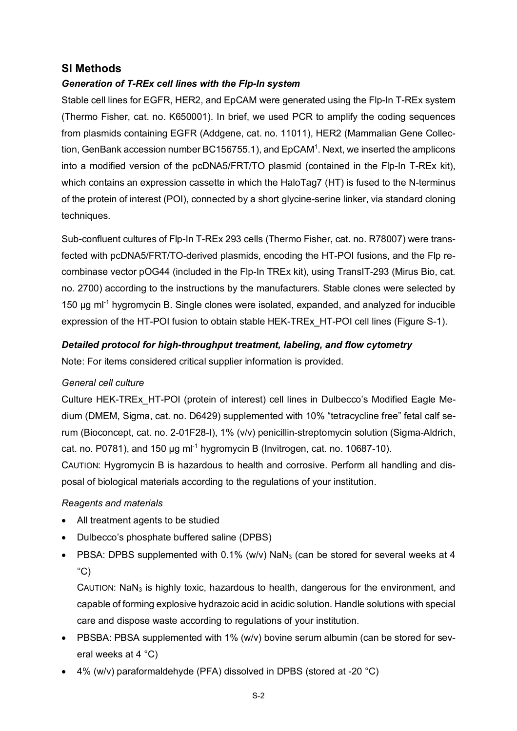# **SI Methods**

# *Generation of T-REx cell lines with the Flp-In system*

Stable cell lines for EGFR, HER2, and EpCAM were generated using the Flp-In T-REx system (Thermo Fisher, cat. no. K650001). In brief, we used PCR to amplify the coding sequences from plasmids containing EGFR (Addgene, cat. no. 11011), HER2 (Mammalian Gene Collection, GenBank accession number BC156755.1), and  $EpcAM<sup>1</sup>$ . Next, we inserted the amplicons into a modified version of the pcDNA5/FRT/TO plasmid (contained in the Flp-In T-REx kit), which contains an expression cassette in which the HaloTag7 (HT) is fused to the N-terminus of the protein of interest (POI), connected by a short glycine-serine linker, via standard cloning techniques.

Sub-confluent cultures of Flp-In T-REx 293 cells (Thermo Fisher, cat. no. R78007) were transfected with pcDNA5/FRT/TO-derived plasmids, encoding the HT-POI fusions, and the Flp recombinase vector pOG44 (included in the Flp-In TREx kit), using TransIT-293 (Mirus Bio, cat. no. 2700) according to the instructions by the manufacturers. Stable clones were selected by 150  $\mu$ g m $^{-1}$  hygromycin B. Single clones were isolated, expanded, and analyzed for inducible expression of the HT-POI fusion to obtain stable HEK-TREx\_HT-POI cell lines (Figure S-1).

### *Detailed protocol for high-throughput treatment, labeling, and flow cytometry*

Note: For items considered critical supplier information is provided.

#### *General cell culture*

Culture HEK-TREx\_HT-POI (protein of interest) cell lines in Dulbecco's Modified Eagle Medium (DMEM, Sigma, cat. no. D6429) supplemented with 10% "tetracycline free" fetal calf serum (Bioconcept, cat. no. 2-01F28-I), 1% (v/v) penicillin-streptomycin solution (Sigma-Aldrich, cat. no. P0781), and 150  $\mu$ g ml<sup>-1</sup> hygromycin B (Invitrogen, cat. no. 10687-10).

CAUTION: Hygromycin B is hazardous to health and corrosive. Perform all handling and disposal of biological materials according to the regulations of your institution.

#### *Reagents and materials*

- All treatment agents to be studied
- Dulbecco's phosphate buffered saline (DPBS)
- PBSA: DPBS supplemented with  $0.1\%$  (w/v) NaN<sub>3</sub> (can be stored for several weeks at 4  $^{\circ}$ C)

CAUTION: NaN3 is highly toxic, hazardous to health, dangerous for the environment, and capable of forming explosive hydrazoic acid in acidic solution. Handle solutions with special care and dispose waste according to regulations of your institution.

- PBSBA: PBSA supplemented with 1% (w/v) bovine serum albumin (can be stored for several weeks at 4 °C)
- 4% (w/v) paraformaldehyde (PFA) dissolved in DPBS (stored at -20 °C)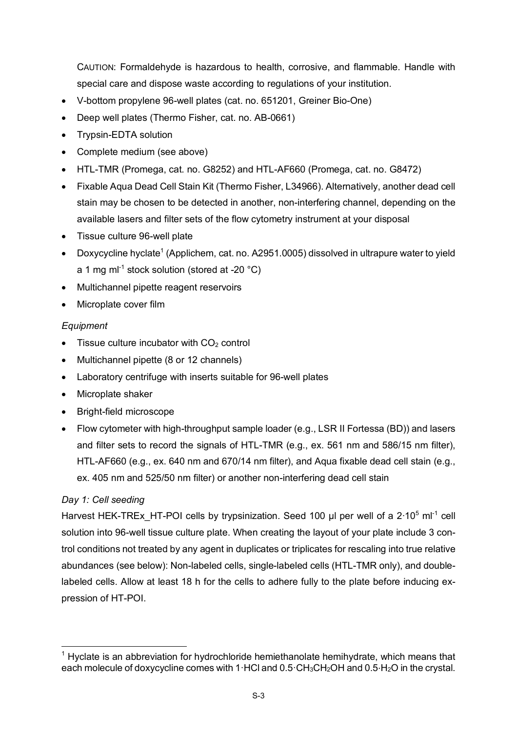CAUTION: Formaldehyde is hazardous to health, corrosive, and flammable. Handle with special care and dispose waste according to regulations of your institution.

- V-bottom propylene 96-well plates (cat. no. 651201, Greiner Bio-One)
- Deep well plates (Thermo Fisher, cat. no. AB-0661)
- Trypsin-EDTA solution
- Complete medium (see above)
- HTL-TMR (Promega, cat. no. G8252) and HTL-AF660 (Promega, cat. no. G8472)
- Fixable Aqua Dead Cell Stain Kit (Thermo Fisher, L34966). Alternatively, another dead cell stain may be chosen to be detected in another, non-interfering channel, depending on the available lasers and filter sets of the flow cytometry instrument at your disposal
- Tissue culture 96-well plate
- Doxycycline hyclate<sup>1</sup> (Applichem, cat. no. A2951.0005) dissolved in ultrapure water to yield a 1 mg m $^{-1}$  stock solution (stored at -20  $^{\circ}$ C)
- Multichannel pipette reagent reservoirs
- Microplate cover film

#### *Equipment*

- Tissue culture incubator with  $CO<sub>2</sub>$  control
- Multichannel pipette (8 or 12 channels)
- Laboratory centrifuge with inserts suitable for 96-well plates
- Microplate shaker
- Bright-field microscope
- Flow cytometer with high-throughput sample loader (e.g., LSR II Fortessa (BD)) and lasers and filter sets to record the signals of HTL-TMR (e.g., ex. 561 nm and 586/15 nm filter), HTL-AF660 (e.g., ex. 640 nm and 670/14 nm filter), and Aqua fixable dead cell stain (e.g., ex. 405 nm and 525/50 nm filter) or another non-interfering dead cell stain

# *Day 1: Cell seeding*

Harvest HEK-TREx\_HT-POI cells by trypsinization. Seed 100 µl per well of a 2⋅10<sup>5</sup> ml<sup>-1</sup> cell solution into 96-well tissue culture plate. When creating the layout of your plate include 3 control conditions not treated by any agent in duplicates or triplicates for rescaling into true relative abundances (see below): Non-labeled cells, single-labeled cells (HTL-TMR only), and doublelabeled cells. Allow at least 18 h for the cells to adhere fully to the plate before inducing expression of HT-POI.

 $1$  Hyclate is an abbreviation for hydrochloride hemiethanolate hemihydrate, which means that each molecule of doxycycline comes with 1·HCl and 0.5·CH<sub>3</sub>CH<sub>2</sub>OH and 0.5⋅H<sub>2</sub>O in the crystal.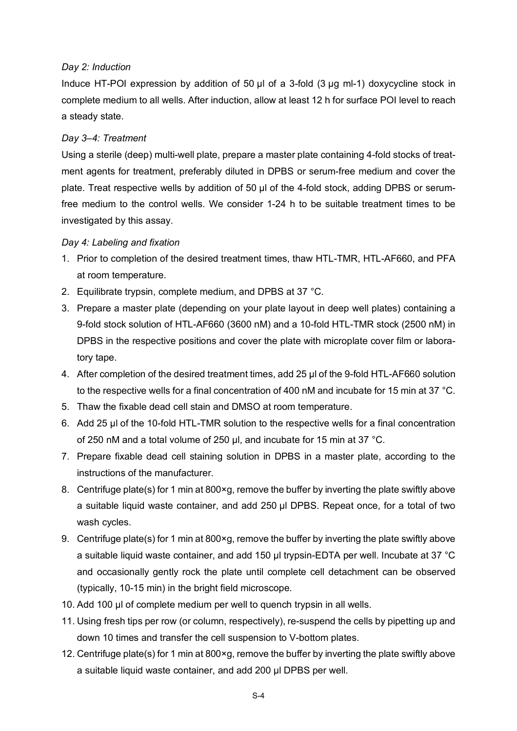#### *Day 2: Induction*

Induce HT-POI expression by addition of 50 µl of a 3-fold (3 µg ml-1) doxycycline stock in complete medium to all wells. After induction, allow at least 12 h for surface POI level to reach a steady state.

#### *Day 3–4: Treatment*

Using a sterile (deep) multi-well plate, prepare a master plate containing 4-fold stocks of treatment agents for treatment, preferably diluted in DPBS or serum-free medium and cover the plate. Treat respective wells by addition of 50 µl of the 4-fold stock, adding DPBS or serumfree medium to the control wells. We consider 1-24 h to be suitable treatment times to be investigated by this assay.

#### *Day 4: Labeling and fixation*

- 1. Prior to completion of the desired treatment times, thaw HTL-TMR, HTL-AF660, and PFA at room temperature.
- 2. Equilibrate trypsin, complete medium, and DPBS at 37 °C.
- 3. Prepare a master plate (depending on your plate layout in deep well plates) containing a 9-fold stock solution of HTL-AF660 (3600 nM) and a 10-fold HTL-TMR stock (2500 nM) in DPBS in the respective positions and cover the plate with microplate cover film or laboratory tape.
- 4. After completion of the desired treatment times, add 25 µl of the 9-fold HTL-AF660 solution to the respective wells for a final concentration of 400 nM and incubate for 15 min at 37 °C.
- 5. Thaw the fixable dead cell stain and DMSO at room temperature.
- 6. Add 25 µl of the 10-fold HTL-TMR solution to the respective wells for a final concentration of 250 nM and a total volume of 250 µl, and incubate for 15 min at 37 °C.
- 7. Prepare fixable dead cell staining solution in DPBS in a master plate, according to the instructions of the manufacturer.
- 8. Centrifuge plate(s) for 1 min at 800×g, remove the buffer by inverting the plate swiftly above a suitable liquid waste container, and add 250 µl DPBS. Repeat once, for a total of two wash cycles.
- 9. Centrifuge plate(s) for 1 min at 800×g, remove the buffer by inverting the plate swiftly above a suitable liquid waste container, and add 150 µl trypsin-EDTA per well. Incubate at 37 °C and occasionally gently rock the plate until complete cell detachment can be observed (typically, 10-15 min) in the bright field microscope.
- 10. Add 100 µl of complete medium per well to quench trypsin in all wells.
- 11. Using fresh tips per row (or column, respectively), re-suspend the cells by pipetting up and down 10 times and transfer the cell suspension to V-bottom plates.
- 12. Centrifuge plate(s) for 1 min at 800×g, remove the buffer by inverting the plate swiftly above a suitable liquid waste container, and add 200 µl DPBS per well.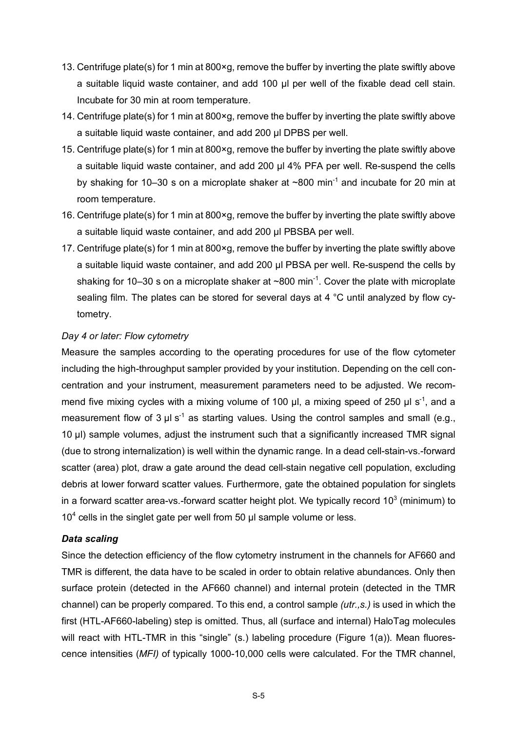- 13. Centrifuge plate(s) for 1 min at 800×g, remove the buffer by inverting the plate swiftly above a suitable liquid waste container, and add 100 µl per well of the fixable dead cell stain. Incubate for 30 min at room temperature.
- 14. Centrifuge plate(s) for 1 min at 800×g, remove the buffer by inverting the plate swiftly above a suitable liquid waste container, and add 200 µl DPBS per well.
- 15. Centrifuge plate(s) for 1 min at 800×g, remove the buffer by inverting the plate swiftly above a suitable liquid waste container, and add 200 µl 4% PFA per well. Re-suspend the cells by shaking for 10–30 s on a microplate shaker at  $\sim 800$  min<sup>-1</sup> and incubate for 20 min at room temperature.
- 16. Centrifuge plate(s) for 1 min at 800×g, remove the buffer by inverting the plate swiftly above a suitable liquid waste container, and add 200 µl PBSBA per well.
- 17. Centrifuge plate(s) for 1 min at 800×g, remove the buffer by inverting the plate swiftly above a suitable liquid waste container, and add 200 µl PBSA per well. Re-suspend the cells by shaking for 10–30 s on a microplate shaker at ~800 min<sup>-1</sup>. Cover the plate with microplate sealing film. The plates can be stored for several days at 4 °C until analyzed by flow cytometry.

#### *Day 4 or later: Flow cytometry*

Measure the samples according to the operating procedures for use of the flow cytometer including the high-throughput sampler provided by your institution. Depending on the cell concentration and your instrument, measurement parameters need to be adjusted. We recommend five mixing cycles with a mixing volume of 100  $\mu$ l, a mixing speed of 250  $\mu$ l s<sup>-1</sup>, and a measurement flow of 3  $\mu$ l s<sup>-1</sup> as starting values. Using the control samples and small (e.g., 10 µl) sample volumes, adjust the instrument such that a significantly increased TMR signal (due to strong internalization) is well within the dynamic range. In a dead cell-stain-vs.-forward scatter (area) plot, draw a gate around the dead cell-stain negative cell population, excluding debris at lower forward scatter values. Furthermore, gate the obtained population for singlets in a forward scatter area-vs.-forward scatter height plot. We typically record  $10<sup>3</sup>$  (minimum) to  $10<sup>4</sup>$  cells in the singlet gate per well from 50  $\mu$ l sample volume or less.

#### *Data scaling*

Since the detection efficiency of the flow cytometry instrument in the channels for AF660 and TMR is different, the data have to be scaled in order to obtain relative abundances. Only then surface protein (detected in the AF660 channel) and internal protein (detected in the TMR channel) can be properly compared. To this end, a control sample *(utr.,s.)* is used in which the first (HTL-AF660-labeling) step is omitted. Thus, all (surface and internal) HaloTag molecules will react with HTL-TMR in this "single" (s.) labeling procedure (Figure 1(a)). Mean fluorescence intensities (*MFI)* of typically 1000-10,000 cells were calculated. For the TMR channel,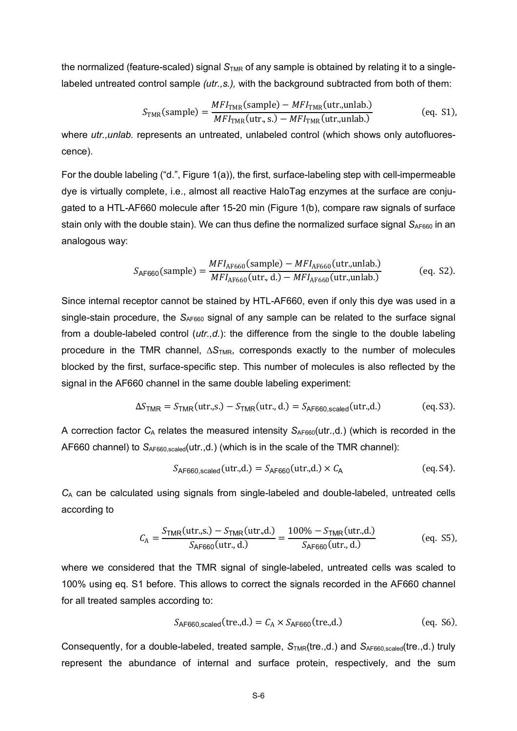the normalized (feature-scaled) signal S<sub>TMR</sub> of any sample is obtained by relating it to a singlelabeled untreated control sample *(utr.,s.),* with the background subtracted from both of them:

$$
S_{\text{TMR}}(\text{sample}) = \frac{MFI_{\text{TMR}}(\text{sample}) - MFI_{\text{TMR}}(\text{utr.,unlab.})}{MFI_{\text{TMR}}(\text{utr.,s.}) - MFI_{\text{TMR}}(\text{utr.,unlab.})}
$$
(eq. S1),

where *utr., unlab.* represents an untreated, unlabeled control (which shows only autofluorescence).

For the double labeling ("d.", Figure 1(a)), the first, surface-labeling step with cell-impermeable dye is virtually complete, i.e., almost all reactive HaloTag enzymes at the surface are conjugated to a HTL-AF660 molecule after 15-20 min (Figure 1(b), compare raw signals of surface stain only with the double stain). We can thus define the normalized surface signal S<sub>AF660</sub> in an analogous way:

$$
S_{\text{AF660}}(\text{sample}) = \frac{MFI_{\text{AF660}}(\text{sample}) - MFI_{\text{AF660}}(\text{utr.,unlab.})}{MFI_{\text{AF660}}(\text{utr.,d.}) - MFI_{\text{AF660}}(\text{utr.,unlab.})}
$$
(eq. S2).

Since internal receptor cannot be stained by HTL-AF660, even if only this dye was used in a single-stain procedure, the S<sub>AF660</sub> signal of any sample can be related to the surface signal from a double-labeled control (*utr.,d.*): the difference from the single to the double labeling procedure in the TMR channel,  $\Delta S$ <sub>TMR</sub>, corresponds exactly to the number of molecules blocked by the first, surface-specific step. This number of molecules is also reflected by the signal in the AF660 channel in the same double labeling experiment:

$$
\Delta S_{\text{TMR}} = S_{\text{TMR}}(\text{utr.s.}) - S_{\text{TMR}}(\text{utr., d.}) = S_{\text{AF660, scaled}}(\text{utr., d.})
$$
 (eq. S3).

A correction factor  $C_A$  relates the measured intensity  $S_{AF660}$ (utr.,d.) (which is recorded in the AF660 channel) to  $S_{AF660, scaled}$ (utr.,d.) (which is in the scale of the TMR channel):

$$
S_{\text{AF660,scaled}}(\text{utr.,d.}) = S_{\text{AF660}}(\text{utr.,d.}) \times C_{\text{A}} \tag{eq. S4}
$$

*C*<sup>A</sup> can be calculated using signals from single-labeled and double-labeled, untreated cells according to

$$
C_{A} = \frac{S_{\text{TMR}}(\text{utr.,s.}) - S_{\text{TMR}}(\text{utr.,d.})}{S_{\text{AF660}}(\text{utr.,d.})} = \frac{100\% - S_{\text{TMR}}(\text{utr.,d.})}{S_{\text{AF660}}(\text{utr.,d.})}
$$
(eq. S5),

where we considered that the TMR signal of single-labeled, untreated cells was scaled to 100% using eq. S1 before. This allows to correct the signals recorded in the AF660 channel for all treated samples according to:

$$
S_{\text{AF660,scaled}}(\text{tre.,d.}) = C_{\text{A}} \times S_{\text{AF660}}(\text{tre.,d.}) \tag{eq. S6}
$$

Consequently, for a double-labeled, treated sample,  $S_{TMR}(tre., d.)$  and  $S_{AF660, scaled}(tre., d.)$  truly represent the abundance of internal and surface protein, respectively, and the sum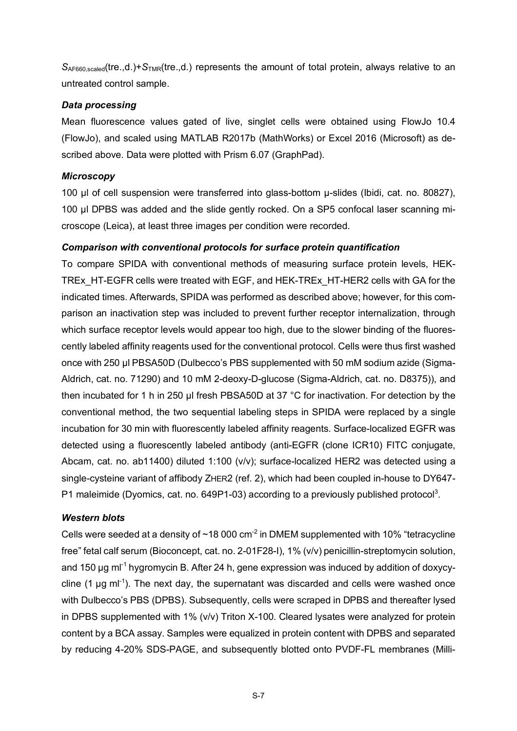S<sub>AF660,scaled</sub>(tre.,d.)+S<sub>TMR</sub>(tre.,d.) represents the amount of total protein, always relative to an untreated control sample.

#### *Data processing*

Mean fluorescence values gated of live, singlet cells were obtained using FlowJo 10.4 (FlowJo), and scaled using MATLAB R2017b (MathWorks) or Excel 2016 (Microsoft) as described above. Data were plotted with Prism 6.07 (GraphPad).

#### *Microscopy*

100 µl of cell suspension were transferred into glass-bottom µ-slides (Ibidi, cat. no. 80827), 100 µl DPBS was added and the slide gently rocked. On a SP5 confocal laser scanning microscope (Leica), at least three images per condition were recorded.

#### *Comparison with conventional protocols for surface protein quantification*

To compare SPIDA with conventional methods of measuring surface protein levels, HEK-TREx\_HT-EGFR cells were treated with EGF, and HEK-TREx\_HT-HER2 cells with GA for the indicated times. Afterwards, SPIDA was performed as described above; however, for this comparison an inactivation step was included to prevent further receptor internalization, through which surface receptor levels would appear too high, due to the slower binding of the fluorescently labeled affinity reagents used for the conventional protocol. Cells were thus first washed once with 250 µl PBSA50D (Dulbecco's PBS supplemented with 50 mM sodium azide (Sigma-Aldrich, cat. no. 71290) and 10 mM 2-deoxy-D-glucose (Sigma-Aldrich, cat. no. D8375)), and then incubated for 1 h in 250 µl fresh PBSA50D at 37 °C for inactivation. For detection by the conventional method, the two sequential labeling steps in SPIDA were replaced by a single incubation for 30 min with fluorescently labeled affinity reagents. Surface-localized EGFR was detected using a fluorescently labeled antibody (anti-EGFR (clone ICR10) FITC conjugate, Abcam, cat. no. ab11400) diluted 1:100 (v/v); surface-localized HER2 was detected using a single-cysteine variant of affibody ZHER2 (ref. 2), which had been coupled in-house to DY647- P1 maleimide (Dyomics, cat. no. 649P1-03) according to a previously published protocol<sup>3</sup>.

#### *Western blots*

Cells were seeded at a density of  $\sim$ 18 000 cm<sup>-2</sup> in DMEM supplemented with 10% "tetracycline free" fetal calf serum (Bioconcept, cat. no. 2-01F28-I), 1% (v/v) penicillin-streptomycin solution, and 150  $\mu$ g ml<sup>-1</sup> hygromycin B. After 24 h, gene expression was induced by addition of doxycycline  $(1 \mu g \text{ ml}^{-1})$ . The next day, the supernatant was discarded and cells were washed once with Dulbecco's PBS (DPBS). Subsequently, cells were scraped in DPBS and thereafter lysed in DPBS supplemented with 1% (v/v) Triton X-100. Cleared lysates were analyzed for protein content by a BCA assay. Samples were equalized in protein content with DPBS and separated by reducing 4-20% SDS-PAGE, and subsequently blotted onto PVDF-FL membranes (Milli-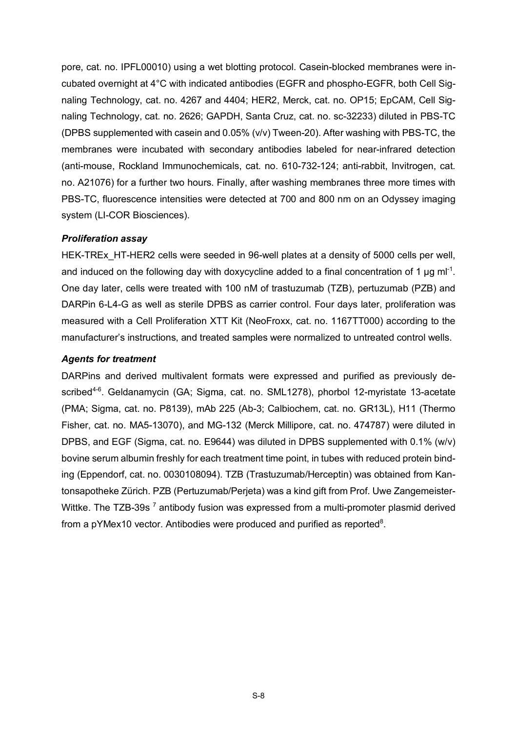pore, cat. no. IPFL00010) using a wet blotting protocol. Casein-blocked membranes were incubated overnight at 4°C with indicated antibodies (EGFR and phospho-EGFR, both Cell Signaling Technology, cat. no. 4267 and 4404; HER2, Merck, cat. no. OP15; EpCAM, Cell Signaling Technology, cat. no. 2626; GAPDH, Santa Cruz, cat. no. sc-32233) diluted in PBS-TC (DPBS supplemented with casein and 0.05% (v/v) Tween-20). After washing with PBS-TC, the membranes were incubated with secondary antibodies labeled for near-infrared detection (anti-mouse, Rockland Immunochemicals, cat. no. 610-732-124; anti-rabbit, Invitrogen, cat. no. A21076) for a further two hours. Finally, after washing membranes three more times with PBS-TC, fluorescence intensities were detected at 700 and 800 nm on an Odyssey imaging system (LI-COR Biosciences).

#### *Proliferation assay*

HEK-TREx\_HT-HER2 cells were seeded in 96-well plates at a density of 5000 cells per well, and induced on the following day with doxycycline added to a final concentration of 1  $\mu$ g ml<sup>-1</sup>. One day later, cells were treated with 100 nM of trastuzumab (TZB), pertuzumab (PZB) and DARPin 6-L4-G as well as sterile DPBS as carrier control. Four days later, proliferation was measured with a Cell Proliferation XTT Kit (NeoFroxx, cat. no. 1167TT000) according to the manufacturer's instructions, and treated samples were normalized to untreated control wells.

#### *Agents for treatment*

DARPins and derived multivalent formats were expressed and purified as previously described<sup>4-6</sup>. Geldanamycin (GA; Sigma, cat. no. SML1278), phorbol 12-myristate 13-acetate (PMA; Sigma, cat. no. P8139), mAb 225 (Ab-3; Calbiochem, cat. no. GR13L), H11 (Thermo Fisher, cat. no. MA5-13070), and MG-132 (Merck Millipore, cat. no. 474787) were diluted in DPBS, and EGF (Sigma, cat. no. E9644) was diluted in DPBS supplemented with 0.1% (w/v) bovine serum albumin freshly for each treatment time point, in tubes with reduced protein binding (Eppendorf, cat. no. 0030108094). TZB (Trastuzumab/Herceptin) was obtained from Kantonsapotheke Zürich. PZB (Pertuzumab/Perjeta) was a kind gift from Prof. Uwe Zangemeister-Wittke. The TZB-39s<sup>7</sup> antibody fusion was expressed from a multi-promoter plasmid derived from a pYMex10 vector. Antibodies were produced and purified as reported $8$ .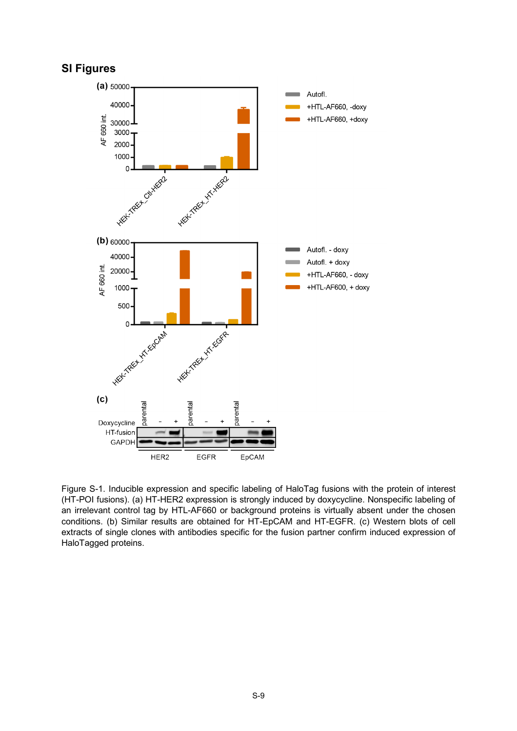# **SI Figures**



Figure S-1. Inducible expression and specific labeling of HaloTag fusions with the protein of interest (HT-POI fusions). (a) HT-HER2 expression is strongly induced by doxycycline. Nonspecific labeling of an irrelevant control tag by HTL-AF660 or background proteins is virtually absent under the chosen conditions. (b) Similar results are obtained for HT-EpCAM and HT-EGFR. (c) Western blots of cell extracts of single clones with antibodies specific for the fusion partner confirm induced expression of HaloTagged proteins.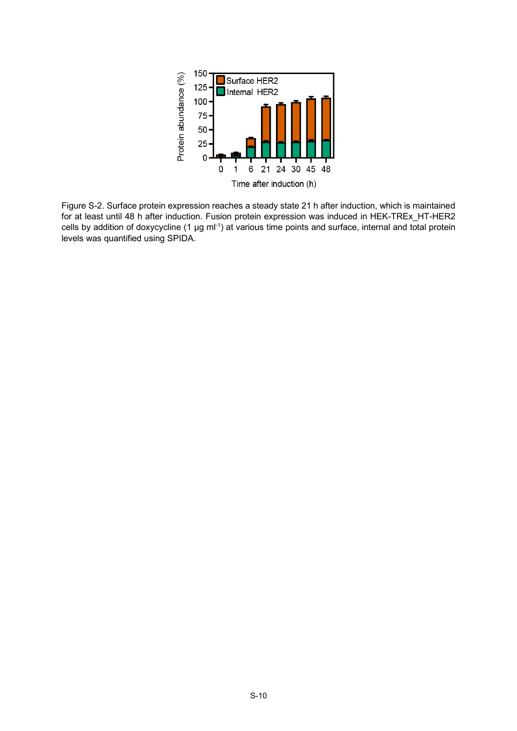

Figure S-2. Surface protein expression reaches a steady state 21 h after induction, which is maintained for at least until 48 h after induction. Fusion protein expression was induced in HEK-TREx\_HT-HER2 cells by addition of doxycycline (1 µg ml-1) at various time points and surface, internal and total protein levels was quantified using SPIDA.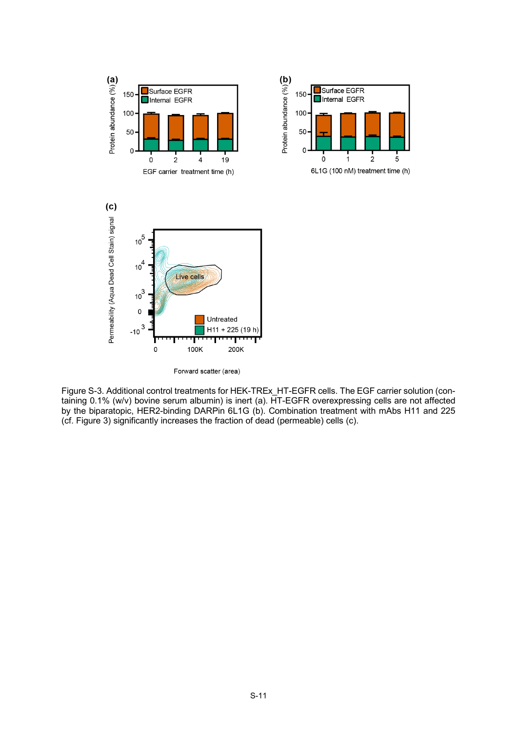

Figure S-3. Additional control treatments for HEK-TREx\_HT-EGFR cells. The EGF carrier solution (containing 0.1% (w/v) bovine serum albumin) is inert (a). HT-EGFR overexpressing cells are not affected by the biparatopic, HER2-binding DARPin 6L1G (b). Combination treatment with mAbs H11 and 225 (cf. Figure 3) significantly increases the fraction of dead (permeable) cells (c).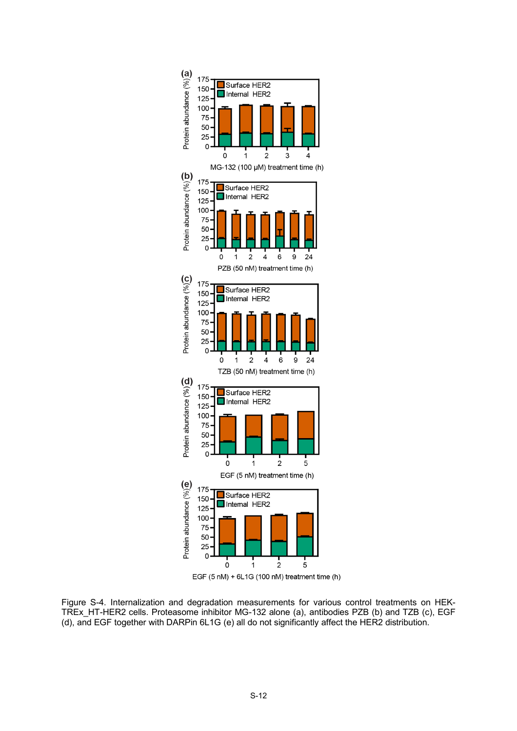

EGF (5 nM) + 6L1G (100 nM) treatment time (h)

Figure S-4. Internalization and degradation measurements for various control treatments on HEK-TREx\_HT-HER2 cells. Proteasome inhibitor MG-132 alone (a), antibodies PZB (b) and TZB (c), EGF (d), and EGF together with DARPin 6L1G (e) all do not significantly affect the HER2 distribution.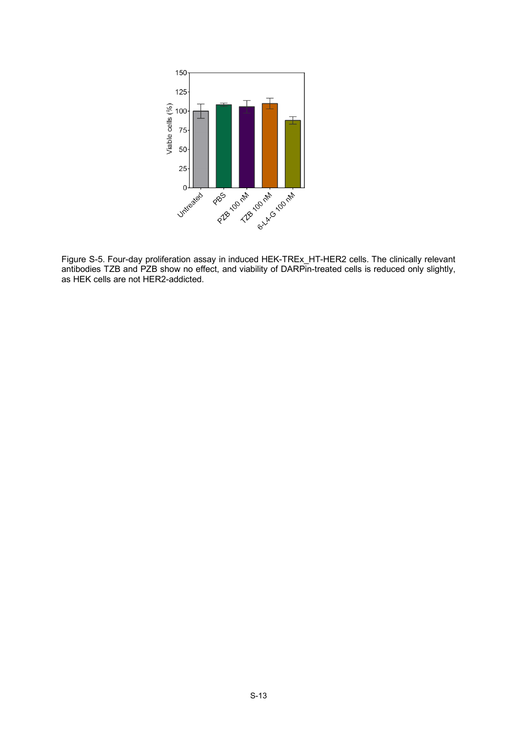

Figure S-5. Four-day proliferation assay in induced HEK-TREx\_HT-HER2 cells. The clinically relevant antibodies TZB and PZB show no effect, and viability of DARPin-treated cells is reduced only slightly, as HEK cells are not HER2-addicted.